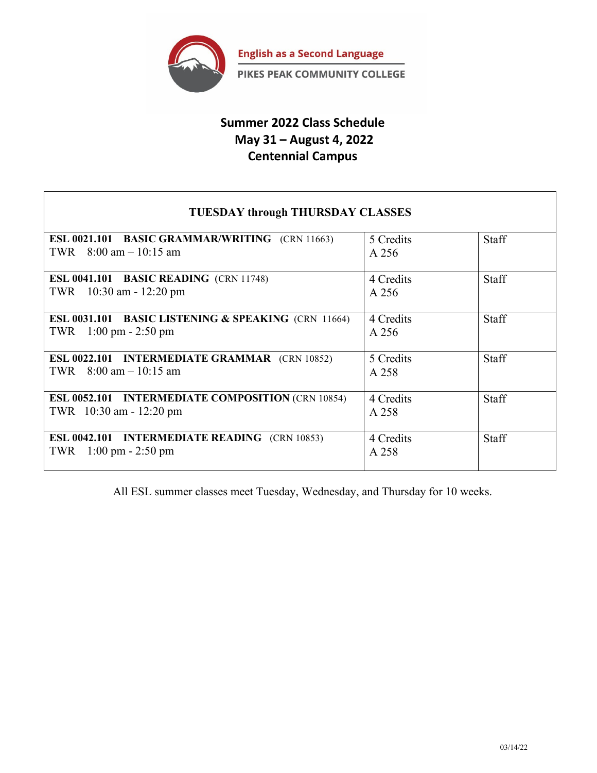

# **Summer 2022 Class Schedule May 31 – August 4, 2022 Centennial Campus**

## **TUESDAY through THURSDAY CLASSES**

| ESL 0021.101 BASIC GRAMMAR/WRITING (CRN 11663)                 | 5 Credits | <b>Staff</b> |
|----------------------------------------------------------------|-----------|--------------|
| TWR $8:00 \text{ am} - 10:15 \text{ am}$                       | A 256     |              |
| <b>ESL 0041.101 BASIC READING (CRN 11748)</b>                  | 4 Credits | <b>Staff</b> |
| $10:30$ am - 12:20 pm<br>TWR                                   | A 256     |              |
|                                                                |           |              |
| <b>ESL 0031.101 BASIC LISTENING &amp; SPEAKING (CRN 11664)</b> | 4 Credits | Staff        |
| $1:00 \text{ pm} - 2:50 \text{ pm}$<br>TWR                     | A 256     |              |
|                                                                |           |              |
| <b>ESL 0022.101 INTERMEDIATE GRAMMAR</b> (CRN 10852)           | 5 Credits | Staff        |
| $8:00$ am $-10:15$ am<br>TWR                                   | A 258     |              |
|                                                                |           |              |
| <b>ESL 0052.101 INTERMEDIATE COMPOSITION (CRN 10854)</b>       | 4 Credits | Staff        |
| TWR 10:30 am - 12:20 pm                                        | A 258     |              |
|                                                                |           |              |
| <b>ESL 0042.101 INTERMEDIATE READING</b> (CRN 10853)           | 4 Credits | Staff        |
| $1:00 \text{ pm} - 2:50 \text{ pm}$<br>TWR                     | A 258     |              |
|                                                                |           |              |

All ESL summer classes meet Tuesday, Wednesday, and Thursday for 10 weeks.